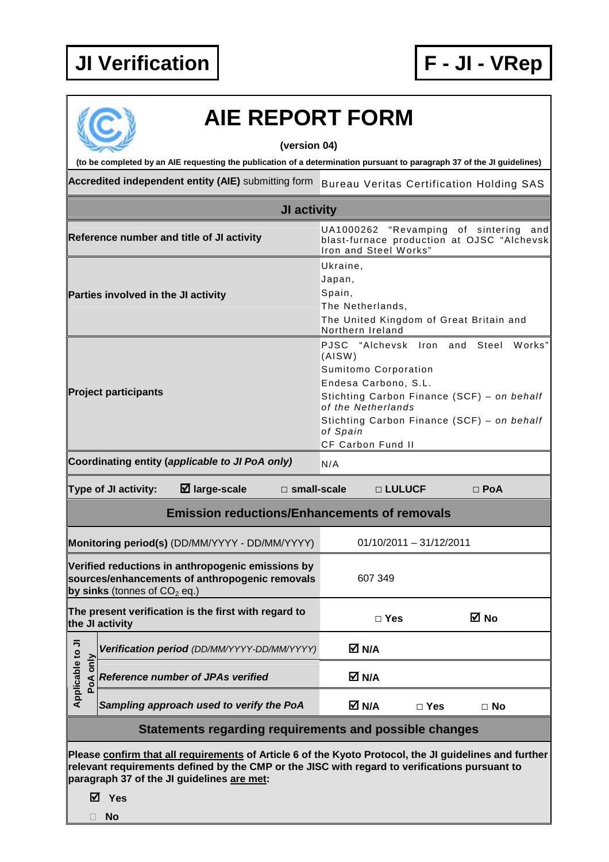

## **AIE REPORT FORM**

**(version 04)** 

**(to be completed by an AIE requesting the publication of a determination pursuant to paragraph 37 of the JI guidelines)** 

Accredited independent entity (AIE) submitting form Bureau Veritas Certification Holding SAS

| JI activity                                                                                                                                                                                                                                           |                                                                             |                                                                                                                                                                                                                                                            |            |           |  |
|-------------------------------------------------------------------------------------------------------------------------------------------------------------------------------------------------------------------------------------------------------|-----------------------------------------------------------------------------|------------------------------------------------------------------------------------------------------------------------------------------------------------------------------------------------------------------------------------------------------------|------------|-----------|--|
| Reference number and title of JI activity                                                                                                                                                                                                             |                                                                             | UA1000262<br>"Revamping of sintering<br>and<br>blast-furnace production at OJSC "Alchevsk<br>Iron and Steel Works"                                                                                                                                         |            |           |  |
| Parties involved in the JI activity                                                                                                                                                                                                                   |                                                                             | Ukraine,<br>Japan,<br>Spain,<br>The Netherlands,<br>The United Kingdom of Great Britain and<br>Northern Ireland                                                                                                                                            |            |           |  |
| <b>Project participants</b>                                                                                                                                                                                                                           |                                                                             | "Alchevsk Iron and<br>PJSC<br>Steel<br>Works"<br>(AISW)<br>Sumitomo Corporation<br>Endesa Carbono, S.L.<br>Stichting Carbon Finance (SCF) - on behalf<br>of the Netherlands<br>Stichting Carbon Finance (SCF) - on behalf<br>of Spain<br>CF Carbon Fund II |            |           |  |
| Coordinating entity (applicable to JI PoA only)<br>N/A                                                                                                                                                                                                |                                                                             |                                                                                                                                                                                                                                                            |            |           |  |
| Type of JI activity:<br>$\boxtimes$ large-scale<br>$\square$ small-scale<br>□ LULUCF<br>$\Box$ PoA                                                                                                                                                    |                                                                             |                                                                                                                                                                                                                                                            |            |           |  |
| <b>Emission reductions/Enhancements of removals</b>                                                                                                                                                                                                   |                                                                             |                                                                                                                                                                                                                                                            |            |           |  |
|                                                                                                                                                                                                                                                       | $01/10/2011 - 31/12/2011$<br>Monitoring period(s) (DD/MM/YYYY - DD/MM/YYYY) |                                                                                                                                                                                                                                                            |            |           |  |
| Verified reductions in anthropogenic emissions by<br>sources/enhancements of anthropogenic removals<br>by sinks (tonnes of $CO2$ eq.)                                                                                                                 |                                                                             | 607 349                                                                                                                                                                                                                                                    |            |           |  |
| The present verification is the first with regard to<br>the JI activity                                                                                                                                                                               |                                                                             | $\Box$ Yes                                                                                                                                                                                                                                                 |            | ⊠ No      |  |
| ⋾                                                                                                                                                                                                                                                     | Verification period (DD/MM/YYYY-DD/MM/YYYY)                                 | M N/A                                                                                                                                                                                                                                                      |            |           |  |
| Applicable to<br>PoA only                                                                                                                                                                                                                             | <b>Reference number of JPAs verified</b>                                    | M N/A                                                                                                                                                                                                                                                      |            |           |  |
|                                                                                                                                                                                                                                                       | Sampling approach used to verify the PoA                                    | M N/A                                                                                                                                                                                                                                                      | $\Box$ Yes | $\Box$ No |  |
|                                                                                                                                                                                                                                                       | Statements regarding requirements and possible changes                      |                                                                                                                                                                                                                                                            |            |           |  |
| Please confirm that all requirements of Article 6 of the Kyoto Protocol, the JI guidelines and further<br>relevant requirements defined by the CMP or the JISC with regard to verifications pursuant to<br>paragraph 37 of the JI guidelines are met: |                                                                             |                                                                                                                                                                                                                                                            |            |           |  |

**Yes** 

**No**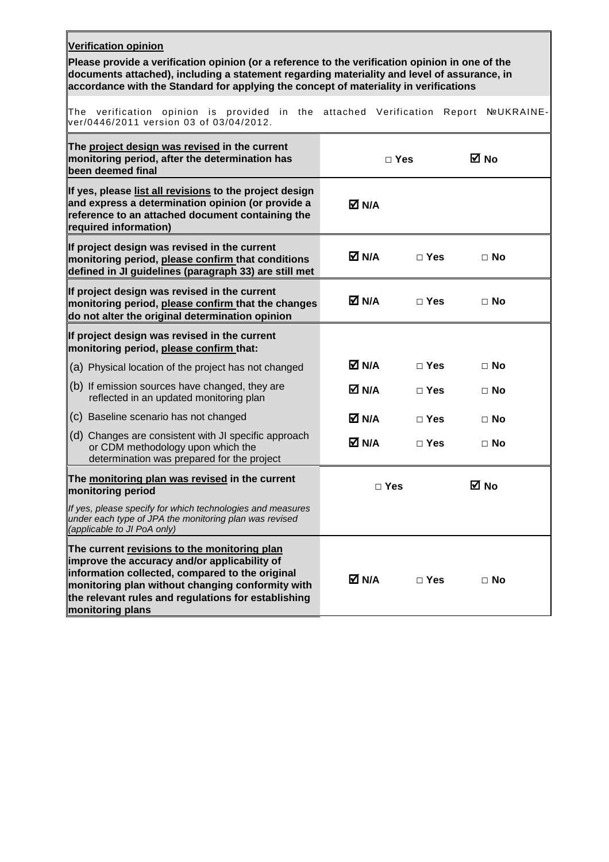| <b>Verification opinion</b>                                                                                                                                                                                                                                                             |            |               |                      |  |  |
|-----------------------------------------------------------------------------------------------------------------------------------------------------------------------------------------------------------------------------------------------------------------------------------------|------------|---------------|----------------------|--|--|
| Please provide a verification opinion (or a reference to the verification opinion in one of the<br>documents attached), including a statement regarding materiality and level of assurance, in<br>accordance with the Standard for applying the concept of materiality in verifications |            |               |                      |  |  |
| The verification opinion is provided in the<br>ver/0446/2011 version 03 of 03/04/2012.                                                                                                                                                                                                  | attached   | Verification  | Report<br>NºUKRAINE- |  |  |
| The project design was revised in the current<br>monitoring period, after the determination has<br>been deemed final                                                                                                                                                                    |            | $\Box$ Yes    | M No                 |  |  |
| If yes, please list all revisions to the project design<br>and express a determination opinion (or provide a<br>reference to an attached document containing the<br>required information)                                                                                               | M N/A      |               |                      |  |  |
| If project design was revised in the current<br>monitoring period, please confirm that conditions<br>defined in JI guidelines (paragraph 33) are still met                                                                                                                              | M N/A      | $\square$ Yes | $\Box$ No            |  |  |
| If project design was revised in the current<br>monitoring period, please confirm that the changes<br>do not alter the original determination opinion                                                                                                                                   | M N/A      | $\Box$ Yes    | $\Box$ No            |  |  |
| If project design was revised in the current<br>monitoring period, please confirm that:                                                                                                                                                                                                 |            |               |                      |  |  |
| (a) Physical location of the project has not changed                                                                                                                                                                                                                                    | M N/A      | $\square$ Yes | $\Box$ No            |  |  |
| $(6)$ If emission sources have changed, they are<br>reflected in an updated monitoring plan                                                                                                                                                                                             | M N/A      | $\Box$ Yes    | $\Box$ No            |  |  |
| (c) Baseline scenario has not changed                                                                                                                                                                                                                                                   | M N/A      | $\Box$ Yes    | $\Box$ No            |  |  |
| (d) Changes are consistent with JI specific approach<br>or CDM methodology upon which the<br>determination was prepared for the project                                                                                                                                                 | M N/A      | $\Box$ Yes    | $\Box$ No            |  |  |
| The monitoring plan was revised in the current<br>monitoring period                                                                                                                                                                                                                     | $\Box$ Yes |               | ⊠ No                 |  |  |
| If yes, please specify for which technologies and measures<br>under each type of JPA the monitoring plan was revised<br>(applicable to JI PoA only)                                                                                                                                     |            |               |                      |  |  |
| The current revisions to the monitoring plan<br>improve the accuracy and/or applicability of<br>information collected, compared to the original<br>monitoring plan without changing conformity with<br>the relevant rules and regulations for establishing<br>monitoring plans          | M N/A      | $\Box$ Yes    | $\Box$ No            |  |  |